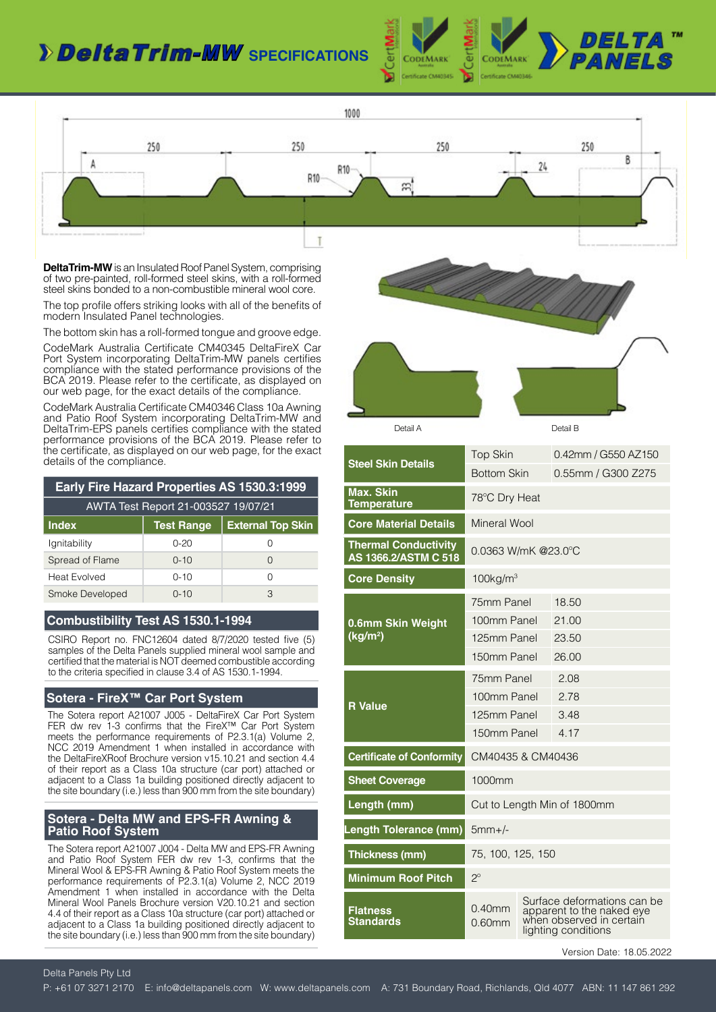## *Delta Trim-MW* specifications





**DeltaTrim-MW** is an Insulated Roof Panel System, comprising of two pre-painted, roll-formed steel skins, with a roll-formed steel skins bonded to a non-combustible mineral wool core.

The top profile offers striking looks with all of the benefits of modern Insulated Panel technologies.

The bottom skin has a roll-formed tongue and groove edge.

CodeMark Australia Certificate CM40345 DeltaFireX Car Port System incorporating DeltaTrim-MW panels certifies compliance with the stated performance provisions of the BCA 2019. Please refer to the certificate, as displayed on our web page, for the exact details of the compliance.

CodeMark Australia Certificate CM40346 Class 10a Awning and Patio Roof System incorporating DeltaTrim-MW and DeltaTrim-EPS panels certifies compliance with the stated performance provisions of the BCA 2019. Please refer to the certificate, as displayed on our web page, for the exact details of the compliance.

| <b>Early Fire Hazard Properties AS 1530.3:1999</b> |                   |                          |  |
|----------------------------------------------------|-------------------|--------------------------|--|
| AWTA Test Report 21-003527 19/07/21                |                   |                          |  |
| <b>Index</b>                                       | <b>Test Range</b> | <b>External Top Skin</b> |  |
| lgnitability                                       | $0 - 20$          |                          |  |
| Spread of Flame                                    | $0 - 10$          | $\bigcap$                |  |
| <b>Heat Evolved</b>                                | $0 - 10$          | ∩                        |  |
| Smoke Developed                                    | $0 - 10$          | З                        |  |

### **Combustibility Test AS 1530.1-1994**

CSIRO Report no. FNC12604 dated 8/7/2020 tested five (5) samples of the Delta Panels supplied mineral wool sample and certified that the material is NOT deemed combustible according to the criteria specified in clause 3.4 of AS 1530.1-1994.

### **Sotera - FireX™ Car Port System**

The Sotera report A21007 J005 - DeltaFireX Car Port System FER dw rev 1-3 confirms that the FireX™ Car Port System meets the performance requirements of P2.3.1(a) Volume 2, NCC 2019 Amendment 1 when installed in accordance with the DeltaFireXRoof Brochure version v15.10.21 and section 4.4 of their report as a Class 10a structure (car port) attached or adjacent to a Class 1a building positioned directly adjacent to the site boundary (i.e.) less than 900 mm from the site boundary)

### **Sotera - Delta MW and EPS-FR Awning & Patio Roof System**

The Sotera report A21007 J004 - Delta MW and EPS-FR Awning and Patio Roof System FER dw rev 1-3, confirms that the Mineral Wool & EPS-FR Awning & Patio Roof System meets the performance requirements of P2.3.1(a) Volume 2, NCC 2019 Amendment 1 when installed in accordance with the Delta Mineral Wool Panels Brochure version V20.10.21 and section 4.4 of their report as a Class 10a structure (car port) attached or adjacent to a Class 1a building positioned directly adjacent to the site boundary (i.e.) less than 900 mm from the site boundary)



| <b>Steel Skin Details</b>                           | <b>Top Skin</b>             |  | 0.42mm / G550 AZ150                                                                                         |
|-----------------------------------------------------|-----------------------------|--|-------------------------------------------------------------------------------------------------------------|
|                                                     | <b>Bottom Skin</b>          |  | 0.55mm / G300 Z275                                                                                          |
| <b>Max. Skin</b><br><b>Temperature</b>              | 78°C Dry Heat               |  |                                                                                                             |
| <b>Core Material Details</b>                        | Mineral Wool                |  |                                                                                                             |
| <b>Thermal Conductivity</b><br>AS 1366.2/ASTM C 518 | $0.0363$ W/mK @23.0 °C      |  |                                                                                                             |
| <b>Core Density</b>                                 | $100$ kg/m <sup>3</sup>     |  |                                                                                                             |
|                                                     | 75mm Panel                  |  | 18.50                                                                                                       |
| 0.6mm Skin Weight                                   | 100mm Panel                 |  | 21.00                                                                                                       |
| (kg/m <sup>2</sup> )                                | 125mm Panel                 |  | 23.50                                                                                                       |
|                                                     | 150mm Panel                 |  | 26.00                                                                                                       |
|                                                     | 75mm Panel                  |  | 2.08                                                                                                        |
|                                                     | 100mm Panel                 |  | 2.78                                                                                                        |
| <b>R</b> Value                                      | 125mm Panel                 |  | 3.48                                                                                                        |
|                                                     | 150mm Panel                 |  | 4.17                                                                                                        |
| <b>Certificate of Conformity</b>                    | CM40435 & CM40436           |  |                                                                                                             |
| <b>Sheet Coverage</b>                               | 1000mm                      |  |                                                                                                             |
| Length (mm)                                         | Cut to Length Min of 1800mm |  |                                                                                                             |
| Length Tolerance (mm)                               | $5mm+/-$                    |  |                                                                                                             |
| Thickness (mm)                                      | 75, 100, 125, 150           |  |                                                                                                             |
| <b>Minimum Roof Pitch</b>                           | $2^{\circ}$                 |  |                                                                                                             |
| Flatness<br><b>Standards</b>                        | $0.40$ mm<br>$0.60$ mm      |  | Surface deformations can be<br>apparent to the naked eye<br>when observed in certain<br>lighting conditions |

Version Date: 18.05.2022

Delta Panels Pty Ltd